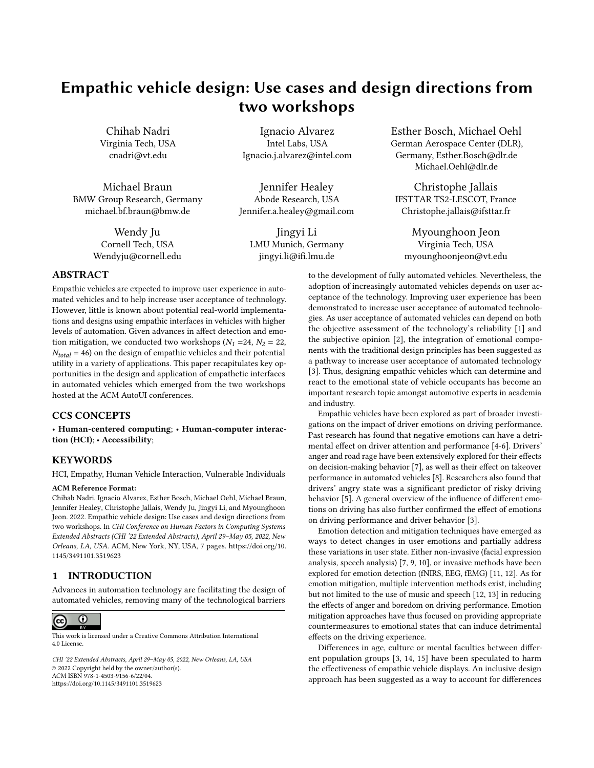# Empathic vehicle design: Use cases and design directions from two workshops

Chihab Nadri Virginia Tech, USA cnadri@vt.edu

Michael Braun BMW Group Research, Germany michael.bf.braun@bmw.de

> Wendy Ju Cornell Tech, USA Wendyju@cornell.edu

Ignacio Alvarez Intel Labs, USA Ignacio.j.alvarez@intel.com

Jennifer Healey Abode Research, USA Jennifer.a.healey@gmail.com

Jingyi Li LMU Munich, Germany jingyi.li@ifi.lmu.de

Esther Bosch, Michael Oehl German Aerospace Center (DLR), Germany, Esther.Bosch@dlr.de Michael.Oehl@dlr.de

Christophe Jallais IFSTTAR TS2-LESCOT, France Christophe.jallais@ifsttar.fr

Myounghoon Jeon Virginia Tech, USA myounghoonjeon@vt.edu

# ABSTRACT

Empathic vehicles are expected to improve user experience in automated vehicles and to help increase user acceptance of technology. However, little is known about potential real-world implementations and designs using empathic interfaces in vehicles with higher levels of automation. Given advances in affect detection and emotion mitigation, we conducted two workshops  $(N_1 = 24, N_2 = 22,$  $N_{total}$  = 46) on the design of empathic vehicles and their potential utility in a variety of applications. This paper recapitulates key opportunities in the design and application of empathetic interfaces in automated vehicles which emerged from the two workshops hosted at the ACM AutoUI conferences.

# CCS CONCEPTS

• Human-centered computing; • Human-computer interaction (HCI); • Accessibility;

# **KEYWORDS**

HCI, Empathy, Human Vehicle Interaction, Vulnerable Individuals

#### ACM Reference Format:

Chihab Nadri, Ignacio Alvarez, Esther Bosch, Michael Oehl, Michael Braun, Jennifer Healey, Christophe Jallais, Wendy Ju, Jingyi Li, and Myounghoon Jeon. 2022. Empathic vehicle design: Use cases and design directions from two workshops. In CHI Conference on Human Factors in Computing Systems Extended Abstracts (CHI '22 Extended Abstracts), April 29–May 05, 2022, New Orleans, LA, USA. ACM, New York, NY, USA, [7](#page-6-0) pages. [https://doi.org/10.](https://doi.org/10.1145/3491101.3519623) [1145/3491101.3519623](https://doi.org/10.1145/3491101.3519623)

# 1 INTRODUCTION

Advances in automation technology are facilitating the design of automated vehicles, removing many of the technological barriers



This work is licensed under a [Creative Commons Attribution International](https://creativecommons.org/licenses/by/4.0/) [4.0 License.](https://creativecommons.org/licenses/by/4.0/)

CHI '22 Extended Abstracts, April 29–May 05, 2022, New Orleans, LA, USA © 2022 Copyright held by the owner/author(s). ACM ISBN 978-1-4503-9156-6/22/04. <https://doi.org/10.1145/3491101.3519623>

to the development of fully automated vehicles. Nevertheless, the adoption of increasingly automated vehicles depends on user acceptance of the technology. Improving user experience has been demonstrated to increase user acceptance of automated technologies. As user acceptance of automated vehicles can depend on both the objective assessment of the technology's reliability [\[1\]](#page-5-0) and the subjective opinion [\[2\]](#page-5-1), the integration of emotional components with the traditional design principles has been suggested as a pathway to increase user acceptance of automated technology [\[3\]](#page-5-2). Thus, designing empathic vehicles which can determine and react to the emotional state of vehicle occupants has become an important research topic amongst automotive experts in academia and industry.

Empathic vehicles have been explored as part of broader investigations on the impact of driver emotions on driving performance. Past research has found that negative emotions can have a detrimental effect on driver attention and performance [\[4](#page-5-3)[-6\]](#page-5-4). Drivers' anger and road rage have been extensively explored for their effects on decision-making behavior [\[7\]](#page-5-5), as well as their effect on takeover performance in automated vehicles [\[8\]](#page-5-6). Researchers also found that drivers' angry state was a significant predictor of risky driving behavior [\[5\]](#page-5-7). A general overview of the influence of different emotions on driving has also further confirmed the effect of emotions on driving performance and driver behavior [\[3\]](#page-5-2).

Emotion detection and mitigation techniques have emerged as ways to detect changes in user emotions and partially address these variations in user state. Either non-invasive (facial expression analysis, speech analysis) [\[7,](#page-5-5) [9,](#page-5-8) [10\]](#page-5-9), or invasive methods have been explored for emotion detection (fNIRS, EEG, fEMG) [\[11,](#page-5-10) [12\]](#page-5-11). As for emotion mitigation, multiple intervention methods exist, including but not limited to the use of music and speech [\[12,](#page-5-11) [13\]](#page-5-12) in reducing the effects of anger and boredom on driving performance. Emotion mitigation approaches have thus focused on providing appropriate countermeasures to emotional states that can induce detrimental effects on the driving experience.

Differences in age, culture or mental faculties between different population groups [\[3,](#page-5-2) [14,](#page-5-13) [15\]](#page-5-14) have been speculated to harm the effectiveness of empathic vehicle displays. An inclusive design approach has been suggested as a way to account for differences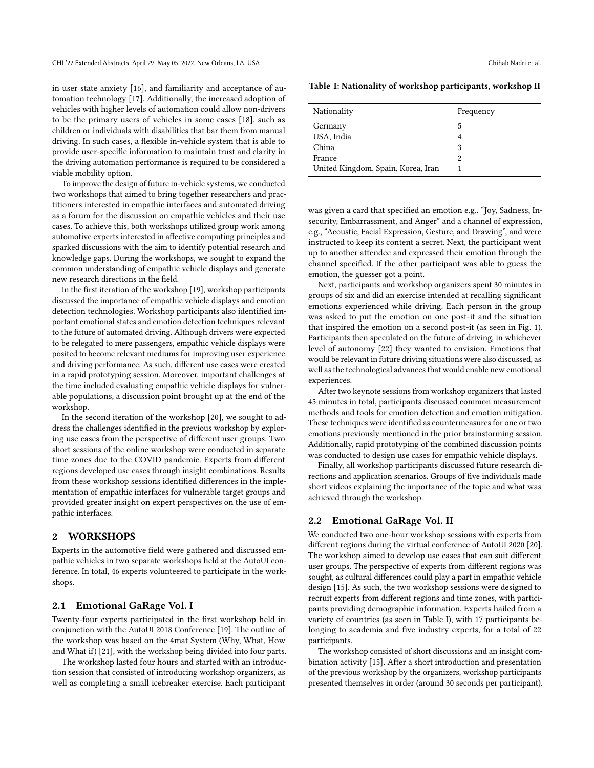in user state anxiety [\[16\]](#page-5-15), and familiarity and acceptance of automation technology [\[17\]](#page-5-16). Additionally, the increased adoption of vehicles with higher levels of automation could allow non-drivers to be the primary users of vehicles in some cases [\[18\]](#page-5-17), such as children or individuals with disabilities that bar them from manual driving. In such cases, a flexible in-vehicle system that is able to provide user-specific information to maintain trust and clarity in the driving automation performance is required to be considered a viable mobility option.

To improve the design of future in-vehicle systems, we conducted two workshops that aimed to bring together researchers and practitioners interested in empathic interfaces and automated driving as a forum for the discussion on empathic vehicles and their use cases. To achieve this, both workshops utilized group work among automotive experts interested in affective computing principles and sparked discussions with the aim to identify potential research and knowledge gaps. During the workshops, we sought to expand the common understanding of empathic vehicle displays and generate new research directions in the field.

In the first iteration of the workshop [\[19\]](#page-5-18), workshop participants discussed the importance of empathic vehicle displays and emotion detection technologies. Workshop participants also identified important emotional states and emotion detection techniques relevant to the future of automated driving. Although drivers were expected to be relegated to mere passengers, empathic vehicle displays were posited to become relevant mediums for improving user experience and driving performance. As such, different use cases were created in a rapid prototyping session. Moreover, important challenges at the time included evaluating empathic vehicle displays for vulnerable populations, a discussion point brought up at the end of the workshop.

In the second iteration of the workshop [\[20\]](#page-5-19), we sought to address the challenges identified in the previous workshop by exploring use cases from the perspective of different user groups. Two short sessions of the online workshop were conducted in separate time zones due to the COVID pandemic. Experts from different regions developed use cases through insight combinations. Results from these workshop sessions identified differences in the implementation of empathic interfaces for vulnerable target groups and provided greater insight on expert perspectives on the use of empathic interfaces.

## 2 WORKSHOPS

Experts in the automotive field were gathered and discussed empathic vehicles in two separate workshops held at the AutoUI conference. In total, 46 experts volunteered to participate in the workshops.

#### 2.1 Emotional GaRage Vol. I

Twenty-four experts participated in the first workshop held in conjunction with the AutoUI 2018 Conference [\[19\]](#page-5-18). The outline of the workshop was based on the 4mat System (Why, What, How and What if) [\[21\]](#page-5-20), with the workshop being divided into four parts.

The workshop lasted four hours and started with an introduction session that consisted of introducing workshop organizers, as well as completing a small icebreaker exercise. Each participant

Table 1: Nationality of workshop participants, workshop II

| Nationality                        | Frequency |
|------------------------------------|-----------|
| Germany                            | 5         |
| USA, India                         | 4         |
| China                              | 3         |
| France                             | 2         |
| United Kingdom, Spain, Korea, Iran |           |

was given a card that specified an emotion e.g., "Joy, Sadness, Insecurity, Embarrassment, and Anger" and a channel of expression, e.g., "Acoustic, Facial Expression, Gesture, and Drawing", and were instructed to keep its content a secret. Next, the participant went up to another attendee and expressed their emotion through the channel specified. If the other participant was able to guess the emotion, the guesser got a point.

Next, participants and workshop organizers spent 30 minutes in groups of six and did an exercise intended at recalling significant emotions experienced while driving. Each person in the group was asked to put the emotion on one post-it and the situation that inspired the emotion on a second post-it (as seen in Fig. [1\)](#page-2-0). Participants then speculated on the future of driving, in whichever level of autonomy [\[22\]](#page-5-21) they wanted to envision. Emotions that would be relevant in future driving situations were also discussed, as well as the technological advances that would enable new emotional experiences.

After two keynote sessions from workshop organizers that lasted 45 minutes in total, participants discussed common measurement methods and tools for emotion detection and emotion mitigation. These techniques were identified as countermeasures for one or two emotions previously mentioned in the prior brainstorming session. Additionally, rapid prototyping of the combined discussion points was conducted to design use cases for empathic vehicle displays.

Finally, all workshop participants discussed future research directions and application scenarios. Groups of five individuals made short videos explaining the importance of the topic and what was achieved through the workshop.

### 2.2 Emotional GaRage Vol. II

We conducted two one-hour workshop sessions with experts from different regions during the virtual conference of AutoUI 2020 [\[20\]](#page-5-19). The workshop aimed to develop use cases that can suit different user groups. The perspective of experts from different regions was sought, as cultural differences could play a part in empathic vehicle design [\[15\]](#page-5-14). As such, the two workshop sessions were designed to recruit experts from different regions and time zones, with participants providing demographic information. Experts hailed from a variety of countries (as seen in Table I), with 17 participants belonging to academia and five industry experts, for a total of 22 participants.

The workshop consisted of short discussions and an insight combination activity [\[15\]](#page-5-14). After a short introduction and presentation of the previous workshop by the organizers, workshop participants presented themselves in order (around 30 seconds per participant).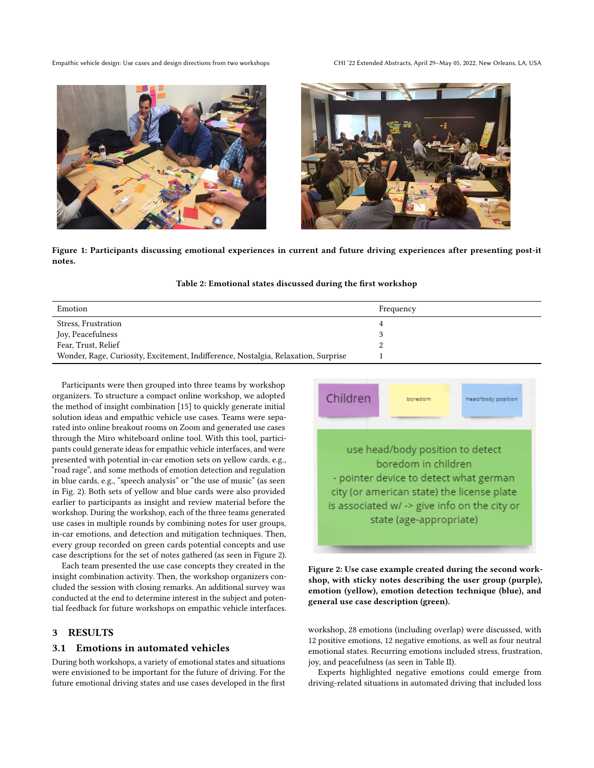Empathic vehicle design: Use cases and design directions from two workshops CHI '22 Extended Abstracts, April 29–May 05, 2022, New Orleans, LA, USA



<span id="page-2-0"></span>

Figure 1: Participants discussing emotional experiences in current and future driving experiences after presenting post-it notes.

### Table 2: Emotional states discussed during the first workshop

| Emotion                                                                            | Frequency |
|------------------------------------------------------------------------------------|-----------|
| Stress, Frustration                                                                |           |
| Joy, Peacefulness                                                                  |           |
| Fear, Trust, Relief                                                                | 2         |
| Wonder, Rage, Curiosity, Excitement, Indifference, Nostalgia, Relaxation, Surprise |           |

Participants were then grouped into three teams by workshop organizers. To structure a compact online workshop, we adopted the method of insight combination [\[15\]](#page-5-14) to quickly generate initial solution ideas and empathic vehicle use cases. Teams were separated into online breakout rooms on Zoom and generated use cases through the Miro whiteboard online tool. With this tool, participants could generate ideas for empathic vehicle interfaces, and were presented with potential in-car emotion sets on yellow cards, e.g., "road rage", and some methods of emotion detection and regulation in blue cards, e.g., "speech analysis" or "the use of music" (as seen in Fig. [2\)](#page-2-1). Both sets of yellow and blue cards were also provided earlier to participants as insight and review material before the workshop. During the workshop, each of the three teams generated use cases in multiple rounds by combining notes for user groups, in-car emotions, and detection and mitigation techniques. Then, every group recorded on green cards potential concepts and use case descriptions for the set of notes gathered (as seen in Figure [2\)](#page-2-1).

Each team presented the use case concepts they created in the insight combination activity. Then, the workshop organizers concluded the session with closing remarks. An additional survey was conducted at the end to determine interest in the subject and potential feedback for future workshops on empathic vehicle interfaces.

# 3 RESULTS

## 3.1 Emotions in automated vehicles

During both workshops, a variety of emotional states and situations were envisioned to be important for the future of driving. For the future emotional driving states and use cases developed in the first

<span id="page-2-1"></span>

Figure 2: Use case example created during the second workshop, with sticky notes describing the user group (purple), emotion (yellow), emotion detection technique (blue), and general use case description (green).

workshop, 28 emotions (including overlap) were discussed, with 12 positive emotions, 12 negative emotions, as well as four neutral emotional states. Recurring emotions included stress, frustration, joy, and peacefulness (as seen in Table II).

Experts highlighted negative emotions could emerge from driving-related situations in automated driving that included loss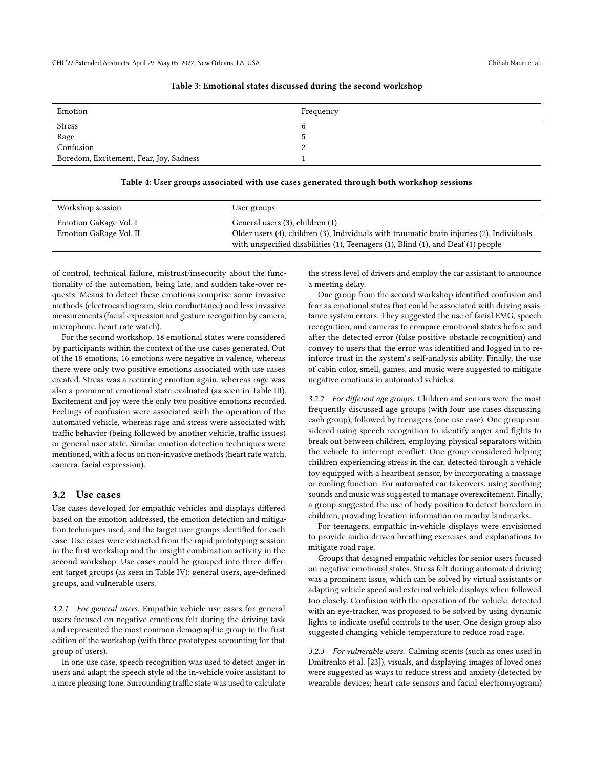#### Table 3: Emotional states discussed during the second workshop

| Emotion                                 | Frequency |
|-----------------------------------------|-----------|
| Stress                                  |           |
| Rage<br>Confusion                       |           |
|                                         |           |
| Boredom, Excitement, Fear, Joy, Sadness |           |

#### Table 4: User groups associated with use cases generated through both workshop sessions

| Workshop session                                | User groups                                                                                                                                                                                                                 |
|-------------------------------------------------|-----------------------------------------------------------------------------------------------------------------------------------------------------------------------------------------------------------------------------|
| Emotion GaRage Vol. I<br>Emotion GaRage Vol. II | General users (3), children (1)<br>Older users (4), children (3), Individuals with traumatic brain injuries (2), Individuals<br>with unspecified disabilities $(1)$ , Teenagers $(1)$ , Blind $(1)$ , and Deaf $(1)$ people |

of control, technical failure, mistrust/insecurity about the functionality of the automation, being late, and sudden take-over requests. Means to detect these emotions comprise some invasive methods (electrocardiogram, skin conductance) and less invasive measurements (facial expression and gesture recognition by camera, microphone, heart rate watch).

For the second workshop, 18 emotional states were considered by participants within the context of the use cases generated. Out of the 18 emotions, 16 emotions were negative in valence, whereas there were only two positive emotions associated with use cases created. Stress was a recurring emotion again, whereas rage was also a prominent emotional state evaluated (as seen in Table III). Excitement and joy were the only two positive emotions recorded. Feelings of confusion were associated with the operation of the automated vehicle, whereas rage and stress were associated with traffic behavior (being followed by another vehicle, traffic issues) or general user state. Similar emotion detection techniques were mentioned, with a focus on non-invasive methods (heart rate watch, camera, facial expression).

## 3.2 Use cases

Use cases developed for empathic vehicles and displays differed based on the emotion addressed, the emotion detection and mitigation techniques used, and the target user groups identified for each case. Use cases were extracted from the rapid prototyping session in the first workshop and the insight combination activity in the second workshop. Use cases could be grouped into three different target groups (as seen in Table IV): general users, age-defined groups, and vulnerable users.

3.2.1 For general users. Empathic vehicle use cases for general users focused on negative emotions felt during the driving task and represented the most common demographic group in the first edition of the workshop (with three prototypes accounting for that group of users).

In one use case, speech recognition was used to detect anger in users and adapt the speech style of the in-vehicle voice assistant to a more pleasing tone. Surrounding traffic state was used to calculate the stress level of drivers and employ the car assistant to announce a meeting delay.

One group from the second workshop identified confusion and fear as emotional states that could be associated with driving assistance system errors. They suggested the use of facial EMG, speech recognition, and cameras to compare emotional states before and after the detected error (false positive obstacle recognition) and convey to users that the error was identified and logged in to reinforce trust in the system's self-analysis ability. Finally, the use of cabin color, smell, games, and music were suggested to mitigate negative emotions in automated vehicles.

3.2.2 For different age groups. Children and seniors were the most frequently discussed age groups (with four use cases discussing each group), followed by teenagers (one use case). One group considered using speech recognition to identify anger and fights to break out between children, employing physical separators within the vehicle to interrupt conflict. One group considered helping children experiencing stress in the car, detected through a vehicle toy equipped with a heartbeat sensor, by incorporating a massage or cooling function. For automated car takeovers, using soothing sounds and music was suggested to manage overexcitement. Finally, a group suggested the use of body position to detect boredom in children, providing location information on nearby landmarks.

For teenagers, empathic in-vehicle displays were envisioned to provide audio-driven breathing exercises and explanations to mitigate road rage.

Groups that designed empathic vehicles for senior users focused on negative emotional states. Stress felt during automated driving was a prominent issue, which can be solved by virtual assistants or adapting vehicle speed and external vehicle displays when followed too closely. Confusion with the operation of the vehicle, detected with an eye-tracker, was proposed to be solved by using dynamic lights to indicate useful controls to the user. One design group also suggested changing vehicle temperature to reduce road rage.

3.2.3 For vulnerable users. Calming scents (such as ones used in Dmitrenko et al. [\[23\]](#page-5-22)), visuals, and displaying images of loved ones were suggested as ways to reduce stress and anxiety (detected by wearable devices; heart rate sensors and facial electromyogram)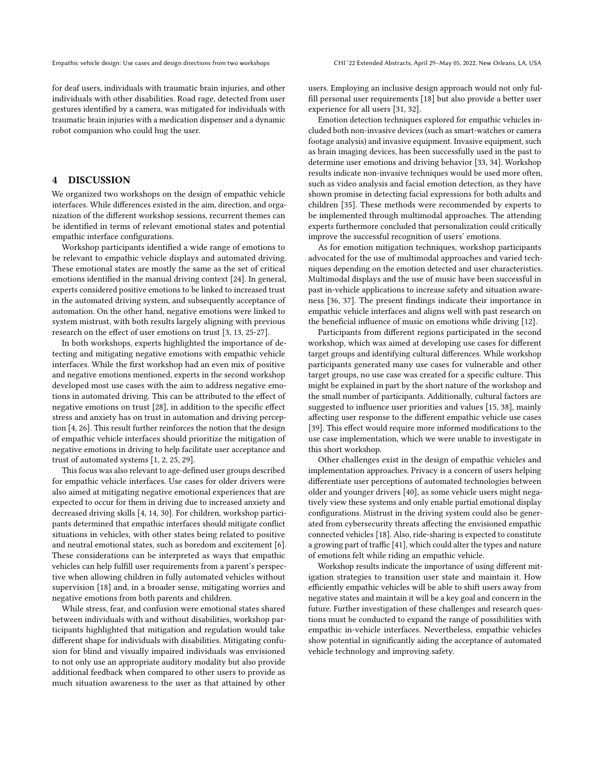for deaf users, individuals with traumatic brain injuries, and other individuals with other disabilities. Road rage, detected from user gestures identified by a camera, was mitigated for individuals with traumatic brain injuries with a medication dispenser and a dynamic robot companion who could hug the user.

## 4 DISCUSSION

We organized two workshops on the design of empathic vehicle interfaces. While differences existed in the aim, direction, and organization of the different workshop sessions, recurrent themes can be identified in terms of relevant emotional states and potential empathic interface configurations.

Workshop participants identified a wide range of emotions to be relevant to empathic vehicle displays and automated driving. These emotional states are mostly the same as the set of critical emotions identified in the manual driving context [\[24\]](#page-5-23). In general, experts considered positive emotions to be linked to increased trust in the automated driving system, and subsequently acceptance of automation. On the other hand, negative emotions were linked to system mistrust, with both results largely aligning with previous research on the effect of user emotions on trust [\[3,](#page-5-2) [13,](#page-5-12) [25-](#page-5-24)[27\]](#page-5-25).

In both workshops, experts highlighted the importance of detecting and mitigating negative emotions with empathic vehicle interfaces. While the first workshop had an even mix of positive and negative emotions mentioned, experts in the second workshop developed most use cases with the aim to address negative emotions in automated driving. This can be attributed to the effect of negative emotions on trust [\[28\]](#page-5-26), in addition to the specific effect stress and anxiety has on trust in automation and driving perception [\[4,](#page-5-3) [26\]](#page-5-27). This result further reinforces the notion that the design of empathic vehicle interfaces should prioritize the mitigation of negative emotions in driving to help facilitate user acceptance and trust of automated systems [\[1,](#page-5-0) [2,](#page-5-1) [25,](#page-5-24) [29\]](#page-5-28).

This focus was also relevant to age-defined user groups described for empathic vehicle interfaces. Use cases for older drivers were also aimed at mitigating negative emotional experiences that are expected to occur for them in driving due to increased anxiety and decreased driving skills [\[4,](#page-5-3) [14,](#page-5-13) [30\]](#page-5-29). For children, workshop participants determined that empathic interfaces should mitigate conflict situations in vehicles, with other states being related to positive and neutral emotional states, such as boredom and excitement [\[6\]](#page-5-4). These considerations can be interpreted as ways that empathic vehicles can help fulfill user requirements from a parent's perspective when allowing children in fully automated vehicles without supervision [\[18\]](#page-5-17) and, in a broader sense, mitigating worries and negative emotions from both parents and children.

While stress, fear, and confusion were emotional states shared between individuals with and without disabilities, workshop participants highlighted that mitigation and regulation would take different shape for individuals with disabilities. Mitigating confusion for blind and visually impaired individuals was envisioned to not only use an appropriate auditory modality but also provide additional feedback when compared to other users to provide as much situation awareness to the user as that attained by other

users. Employing an inclusive design approach would not only fulfill personal user requirements [\[18\]](#page-5-17) but also provide a better user experience for all users [\[31,](#page-5-30) [32\]](#page-5-31).

Emotion detection techniques explored for empathic vehicles included both non-invasive devices (such as smart-watches or camera footage analysis) and invasive equipment. Invasive equipment, such as brain imaging devices, has been successfully used in the past to determine user emotions and driving behavior [\[33,](#page-5-32) [34\]](#page-5-33). Workshop results indicate non-invasive techniques would be used more often, such as video analysis and facial emotion detection, as they have shown promise in detecting facial expressions for both adults and children [\[35\]](#page-5-34). These methods were recommended by experts to be implemented through multimodal approaches. The attending experts furthermore concluded that personalization could critically improve the successful recognition of users' emotions.

As for emotion mitigation techniques, workshop participants advocated for the use of multimodal approaches and varied techniques depending on the emotion detected and user characteristics. Multimodal displays and the use of music have been successful in past in-vehicle applications to increase safety and situation awareness [\[36,](#page-5-35) [37\]](#page-5-36). The present findings indicate their importance in empathic vehicle interfaces and aligns well with past research on the beneficial influence of music on emotions while driving [\[12\]](#page-5-11).

Participants from different regions participated in the second workshop, which was aimed at developing use cases for different target groups and identifying cultural differences. While workshop participants generated many use cases for vulnerable and other target groups, no use case was created for a specific culture. This might be explained in part by the short nature of the workshop and the small number of participants. Additionally, cultural factors are suggested to influence user priorities and values [\[15,](#page-5-14) [38\]](#page-5-37), mainly affecting user response to the different empathic vehicle use cases [\[39\]](#page-6-1). This effect would require more informed modifications to the use case implementation, which we were unable to investigate in this short workshop.

Other challenges exist in the design of empathic vehicles and implementation approaches. Privacy is a concern of users helping differentiate user perceptions of automated technologies between older and younger drivers [\[40\]](#page-6-2), as some vehicle users might negatively view these systems and only enable partial emotional display configurations. Mistrust in the driving system could also be generated from cybersecurity threats affecting the envisioned empathic connected vehicles [\[18\]](#page-5-17). Also, ride-sharing is expected to constitute a growing part of traffic [\[41\]](#page-6-3), which could alter the types and nature of emotions felt while riding an empathic vehicle.

Workshop results indicate the importance of using different mitigation strategies to transition user state and maintain it. How efficiently empathic vehicles will be able to shift users away from negative states and maintain it will be a key goal and concern in the future. Further investigation of these challenges and research questions must be conducted to expand the range of possibilities with empathic in-vehicle interfaces. Nevertheless, empathic vehicles show potential in significantly aiding the acceptance of automated vehicle technology and improving safety.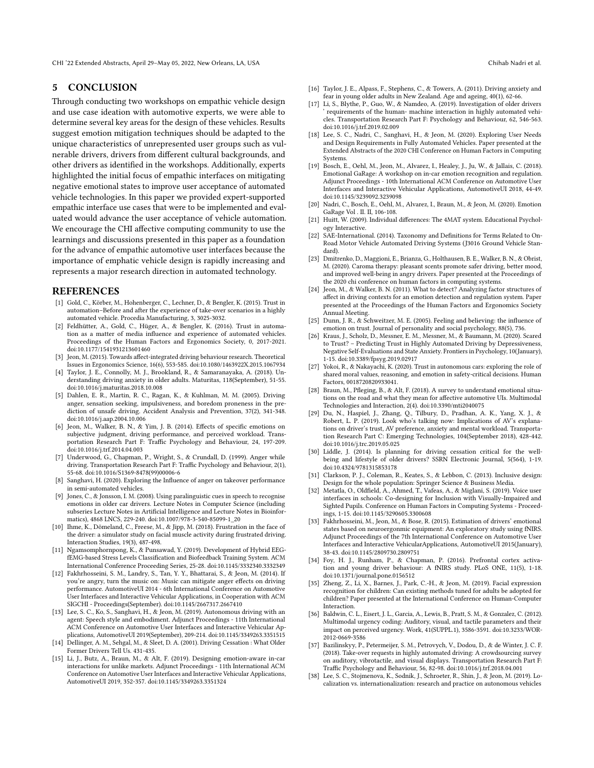CHI '22 Extended Abstracts, April 29-May 05, 2022, New Orleans, LA, USA Chihab Nadri et al.

### 5 CONCLUSION

Through conducting two workshops on empathic vehicle design and use case ideation with automotive experts, we were able to determine several key areas for the design of these vehicles. Results suggest emotion mitigation techniques should be adapted to the unique characteristics of unrepresented user groups such as vulnerable drivers, drivers from different cultural backgrounds, and other drivers as identified in the workshops. Additionally, experts highlighted the initial focus of empathic interfaces on mitigating negative emotional states to improve user acceptance of automated vehicle technologies. In this paper we provided expert-supported empathic interface use cases that were to be implemented and evaluated would advance the user acceptance of vehicle automation. We encourage the CHI affective computing community to use the learnings and discussions presented in this paper as a foundation for the advance of empathic automotive user interfaces because the importance of emphatic vehicle design is rapidly increasing and represents a major research direction in automated technology.

#### REFERENCES

- <span id="page-5-0"></span>[1] Gold, C., Körber, M., Hohenberger, C., Lechner, D., & Bengler, K. (2015). Trust in automation–Before and after the experience of take-over scenarios in a highly automated vehicle. Procedia Manufacturing, 3, 3025-3032.
- <span id="page-5-1"></span>[2] Feldhütter, A., Gold, C., Hüger, A., & Bengler, K. (2016). Trust in automation as a matter of media influence and experience of automated vehicles. Proceedings of the Human Factors and Ergonomics Society, 0, 2017-2021. doi:10.1177/1541931213601460
- <span id="page-5-2"></span>[3] Jeon, M. (2015). Towards affect-integrated driving behaviour research. Theoretical Issues in Ergonomics Science, 16(6), 553-585. doi:10.1080/1463922X.2015.1067934
- <span id="page-5-3"></span>[4] Taylor, J. E., Connolly, M. J., Brookland, R., & Samaranayaka, A. (2018). Understanding driving anxiety in older adults. Maturitas, 118(September), 51-55. doi:10.1016/j.maturitas.2018.10.008
- <span id="page-5-7"></span>[5] Dahlen, E. R., Martin, R. C., Ragan, K., & Kuhlman, M. M. (2005). Driving anger, sensation seeking, impulsiveness, and boredom proneness in the prediction of unsafe driving. Accident Analysis and Prevention, 37(2), 341-348. doi:10.1016/j.aap.2004.10.006
- <span id="page-5-4"></span>[6] Jeon, M., Walker, B. N., & Yim, J. B. (2014). Effects of specific emotions on subjective judgment, driving performance, and perceived workload. Transportation Research Part F: Traffic Psychology and Behaviour, 24, 197-209. doi:10.1016/j.trf.2014.04.003
- <span id="page-5-5"></span>[7] Underwood, G., Chapman, P., Wright, S., & Crundall, D. (1999). Anger while driving. Transportation Research Part F: Traffic Psychology and Behaviour, 2(1), 55-68. doi:10.1016/S1369-8478(99)00006-6
- <span id="page-5-6"></span>[8] Sanghavi, H. (2020). Exploring the Influence of anger on takeover performance in semi-automated vehicles.
- <span id="page-5-8"></span>[9] Jones, C., & Jonsson, I. M. (2008). Using paralinguistic cues in speech to recognise emotions in older car drivers. Lecture Notes in Computer Science (including subseries Lecture Notes in Artificial Intelligence and Lecture Notes in Bioinformatics), 4868 LNCS, 229-240. doi:10.1007/978-3-540-85099-1\_20
- <span id="page-5-9"></span>[10] Ihme, K., Dömeland, C., Freese, M., & Jipp, M. (2018). Frustration in the face of the driver: a simulator study on facial muscle activity during frustrated driving. Interaction Studies, 19(3), 487-498.
- <span id="page-5-10"></span>[11] Ngamsomphornpong, K., & Punsawad, Y. (2019). Development of Hybrid EEGfEMG-based Stress Levels Classification and Biofeedback Training System. ACM International Conference Proceeding Series, 25-28. doi:10.1145/3332340.3332349
- <span id="page-5-11"></span>[12] Fakhrhosseini, S. M., Landry, S., Tan, Y. Y., Bhattarai, S., & Jeon, M. (2014). If you're angry, turn the music on: Music can mitigate anger effects on driving performance. AutomotiveUI 2014 - 6th International Conference on Automotive User Interfaces and Interactive Vehicular Applications, in Cooperation with ACM SIGCHI - Proceedings(September). doi:10.1145/2667317.2667410
- <span id="page-5-12"></span>[13] Lee, S. C., Ko, S., Sanghavi, H., & Jeon, M. (2019). Autonomous driving with an agent: Speech style and embodiment. Adjunct Proceedings - 11th International ACM Conference on Automotive User Interfaces and Interactive Vehicular Applications, AutomotiveUI 2019(September), 209-214. doi:10.1145/3349263.3351515
- <span id="page-5-13"></span>[14] Dellinger, A. M., Sehgal, M., & Sleet, D. A. (2001). Driving Cessation : What Older Former Drivers Tell Us. 431-435.
- <span id="page-5-14"></span>[15] Li, J., Butz, A., Braun, M., & Alt, F. (2019). Designing emotion-aware in-car interactions for unlike markets. Adjunct Proceedings - 11th International ACM Conference on Automotive User Interfaces and Interactive Vehicular Applications, AutomotiveUI 2019, 352-357. doi:10.1145/3349263.3351324
- <span id="page-5-15"></span>[16] Taylor, J. E., Alpass, F., Stephens, C., & Towers, A. (2011). Driving anxiety and fear in young older adults in New Zealand. Age and ageing, 40(1), 62-66.
- <span id="page-5-16"></span>[17] Li, S., Blythe, P., Guo, W., & Namdeo, A. (2019). Investigation of older drivers ' requirements of the human- machine interaction in highly automated vehicles. Transportation Research Part F: Psychology and Behaviour, 62, 546-563. doi:10.1016/j.trf.2019.02.009
- <span id="page-5-17"></span>[18] Lee, S. C., Nadri, C., Sanghavi, H., & Jeon, M. (2020). Exploring User Needs and Design Requirements in Fully Automated Vehicles. Paper presented at the Extended Abstracts of the 2020 CHI Conference on Human Factors in Computing Systems.
- <span id="page-5-18"></span>[19] Bosch, E., Oehl, M., Jeon, M., Alvarez, I., Healey, J., Ju, W., & Jallais, C. (2018). Emotional GaRage: A workshop on in-car emotion recognition and regulation. Adjunct Proceedings - 10th International ACM Conference on Automotive User Interfaces and Interactive Vehicular Applications, AutomotiveUI 2018, 44-49. doi:10.1145/3239092.3239098
- <span id="page-5-19"></span>[20] Nadri, C., Bosch, E., Oehl, M., Alvarez, I., Braun, M., & Jeon, M. (2020). Emotion GaRage Vol . II. II, 106-108.
- <span id="page-5-20"></span>[21] Huitt, W. (2009). Individual differences: The 4MAT system. Educational Psychology Interactive.
- <span id="page-5-21"></span>[22] SAE-International. (2014). Taxonomy and Definitions for Terms Related to On-Road Motor Vehicle Automated Driving Systems (J3016 Ground Vehicle Standard).
- <span id="page-5-22"></span>[23] Dmitrenko, D., Maggioni, E., Brianza, G., Holthausen, B. E., Walker, B. N., & Obrist, M. (2020). Caroma therapy: pleasant scents promote safer driving, better mood, and improved well-being in angry drivers. Paper presented at the Proceedings of the 2020 chi conference on human factors in computing systems.
- <span id="page-5-23"></span>[24] Jeon, M., & Walker, B. N. (2011). What to detect? Analyzing factor structures of affect in driving contexts for an emotion detection and regulation system. Paper presented at the Proceedings of the Human Factors and Ergonomics Society Annual Meeting.
- <span id="page-5-24"></span>[25] Dunn, J. R., & Schweitzer, M. E. (2005). Feeling and believing: the influence of emotion on trust. Journal of personality and social psychology, 88(5), 736.
- <span id="page-5-27"></span>[26] Kraus, J., Scholz, D., Messner, E. M., Messner, M., & Baumann, M. (2020). Scared to Trust? – Predicting Trust in Highly Automated Driving by Depressiveness, Negative Self-Evaluations and State Anxiety. Frontiers in Psychology, 10(January), 1-15. doi:10.3389/fpsyg.2019.02917
- <span id="page-5-25"></span>[27] Yokoi, R., & Nakayachi, K. (2020). Trust in autonomous cars: exploring the role of shared moral values, reasoning, and emotion in safety-critical decisions. Human Factors, 0018720820933041.
- <span id="page-5-26"></span>[28] Braun, M., Pfleging, B., & Alt, F. (2018). A survey to understand emotional situations on the road and what they mean for affective automotive UIs. Multimodal Technologies and Interaction, 2(4). doi:10.3390/mti2040075
- <span id="page-5-28"></span>[29] Du, N., Haspiel, J., Zhang, Q., Tilbury, D., Pradhan, A. K., Yang, X. J., & Robert, L. P. (2019). Look who's talking now: Implications of AV's explanations on driver's trust, AV preference, anxiety and mental workload. Transportation Research Part C: Emerging Technologies, 104(September 2018), 428-442. doi:10.1016/j.trc.2019.05.025
- <span id="page-5-29"></span>[30] Liddle, J. (2014). Is planning for driving cessation critical for the wellbeing and lifestyle of older drivers? SSRN Electronic Journal, 5(564), 1-19. doi:10.4324/9781315853178
- <span id="page-5-30"></span>[31] Clarkson, P. J., Coleman, R., Keates, S., & Lebbon, C. (2013). Inclusive design: Design for the whole population: Springer Science & Business Media.
- <span id="page-5-31"></span>[32] Metatla, O., Oldfield, A., Ahmed, T., Vafeas, A., & Miglani, S. (2019). Voice user interfaces in schools: Co-designing for Inclusion with Visually-Impaired and Sighted Pupils. Conference on Human Factors in Computing Systems - Proceedings, 1-15. doi:10.1145/3290605.3300608
- <span id="page-5-32"></span>[33] Fakhrhosseini, M., Jeon, M., & Bose, R. (2015). Estimation of drivers' emotional states based on neuroergonmic equipment: An exploratory study using fNIRS. Adjunct Proceedings of the 7th International Conference on Automotive User Interfaces and Interactive VehicularApplications, AutomotiveUI 2015(January), 38-43. doi:10.1145/2809730.2809751
- <span id="page-5-33"></span>[34] Foy, H. J., Runham, P., & Chapman, P. (2016). Prefrontal cortex activation and young driver behaviour: A fNIRS study. PLoS ONE, 11(5), 1-18. doi:10.1371/journal.pone.0156512
- <span id="page-5-34"></span>[35] Zheng, Z., Li, X., Barnes, J., Park, C.-H., & Jeon, M. (2019). Facial expression recognition for children: Can existing methods tuned for adults be adopted for children? Paper presented at the International Conference on Human-Computer Interaction.
- <span id="page-5-35"></span>[36] Baldwin, C. L., Eisert, J. L., Garcia, A., Lewis, B., Pratt, S. M., & Gonzalez, C. (2012). Multimodal urgency coding: Auditory, visual, and tactile parameters and their impact on perceived urgency. Work, 41(SUPPL.1), 3586-3591. doi:10.3233/WOR-2012-0669-3586
- <span id="page-5-36"></span>[37] Bazilinskyy, P., Petermeijer, S. M., Petrovych, V., Dodou, D., & de Winter, J. C. F. (2018). Take-over requests in highly automated driving: A crowdsourcing survey on auditory, vibrotactile, and visual displays. Transportation Research Part F: Traffic Psychology and Behaviour, 56, 82-98. doi:10.1016/j.trf.2018.04.001
- <span id="page-5-37"></span>[38] Lee, S. C., Stojmenova, K., Sodnik, J., Schroeter, R., Shin, J., & Jeon, M. (2019). Localization vs. internationalization: research and practice on autonomous vehicles